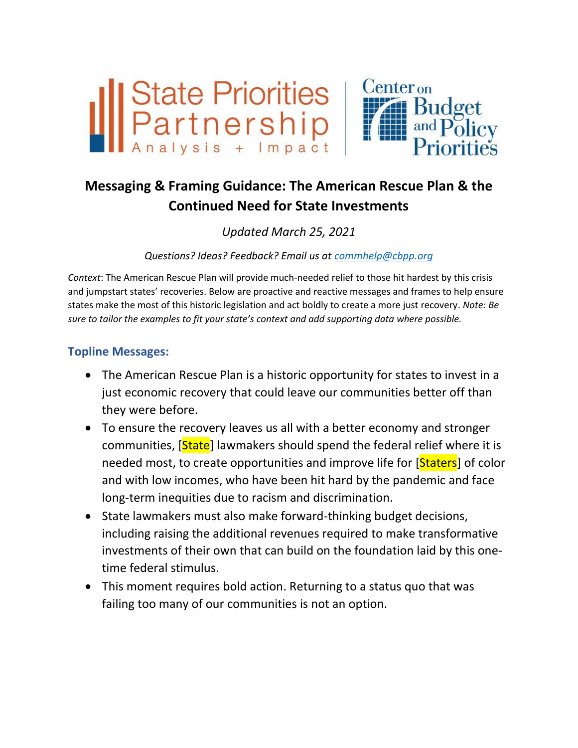

# **Messaging & Framing Guidance: The American Rescue Plan & the Continued Need for State Investments**

# *Updated March 25, 2021*

*Questions? Ideas? Feedback? Email us at [commhelp@cbpp.org](mailto:commhelp@cbpp.org?subject=ARP%20Messaging)*

*Context*: The American Rescue Plan will provide much-needed relief to those hit hardest by this crisis and jumpstart states' recoveries. Below are proactive and reactive messages and frames to help ensure states make the most of this historic legislation and act boldly to create a more just recovery. *Note: Be sure to tailor the examples to fit your state's context and add supporting data where possible.*

# **Topline Messages:**

- The American Rescue Plan is a historic opportunity for states to invest in a just economic recovery that could leave our communities better off than they were before.
- To ensure the recovery leaves us all with a better economy and stronger communities, [State] lawmakers should spend the federal relief where it is needed most, to create opportunities and improve life for [Staters] of color and with low incomes, who have been hit hard by the pandemic and face long-term inequities due to racism and discrimination.
- State lawmakers must also make forward-thinking budget decisions, including raising the additional revenues required to make transformative investments of their own that can build on the foundation laid by this onetime federal stimulus.
- This moment requires bold action. Returning to a status quo that was failing too many of our communities is not an option.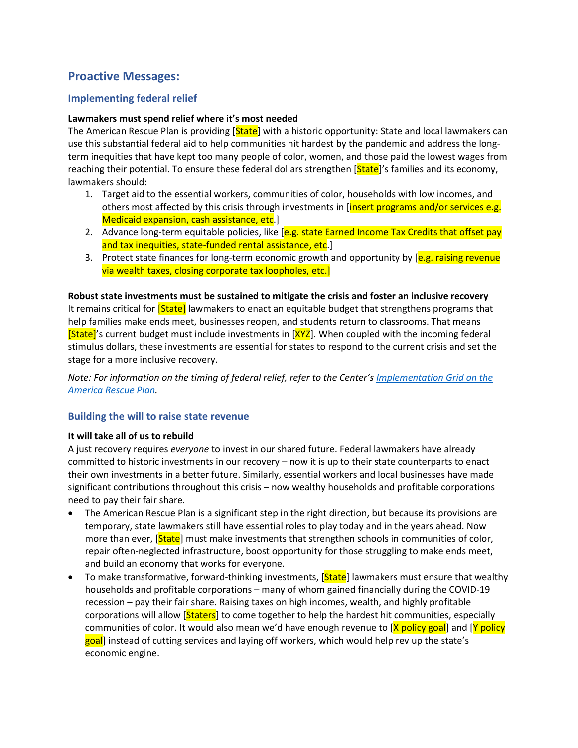# **Proactive Messages:**

# **Implementing federal relief**

### **Lawmakers must spend relief where it's most needed**

The American Rescue Plan is providing [State] with a historic opportunity: State and local lawmakers can use this substantial federal aid to help communities hit hardest by the pandemic and address the longterm inequities that have kept too many people of color, women, and those paid the lowest wages from reaching their potential. To ensure these federal dollars strengthen [State]'s families and its economy, lawmakers should:

- 1. Target aid to the essential workers, communities of color, households with low incomes, and others most affected by this crisis through investments in [insert programs and/or services e.g. Medicaid expansion, cash assistance, etc.
- 2. Advance long-term equitable policies, like [e.g. state Earned Income Tax Credits that offset pay and tax inequities, state-funded rental assistance, etc.
- 3. Protect state finances for long-term economic growth and opportunity by [e.g. raising revenue] via wealth taxes, closing corporate tax loopholes, etc.]

**Robust state investments must be sustained to mitigate the crisis and foster an inclusive recovery** It remains critical for **[State]** lawmakers to enact an equitable budget that strengthens programs that help families make ends meet, businesses reopen, and students return to classrooms. That means **[State]**'s current budget must include investments in **[XYZ**]. When coupled with the incoming federal stimulus dollars, these investments are essential for states to respond to the current crisis and set the stage for a more inclusive recovery.

*Note: For information on the timing of federal relief, refer to the Center's [Implementation Grid](https://drive.google.com/file/d/1BfCO9V5l4IeA1RXfaahXmKZ-VHEc8lLT/view) on the [America Rescue Plan.](https://drive.google.com/file/d/1BfCO9V5l4IeA1RXfaahXmKZ-VHEc8lLT/view)*

### **Building the will to raise state revenue**

### **It will take all of us to rebuild**

A just recovery requires *everyone* to invest in our shared future. Federal lawmakers have already committed to historic investments in our recovery – now it is up to their state counterparts to enact their own investments in a better future. Similarly, essential workers and local businesses have made significant contributions throughout this crisis – now wealthy households and profitable corporations need to pay their fair share.

- The American Rescue Plan is a significant step in the right direction, but because its provisions are temporary, state lawmakers still have essential roles to play today and in the years ahead. Now more than ever, [State] must make investments that strengthen schools in communities of color, repair often-neglected infrastructure, boost opportunity for those struggling to make ends meet, and build an economy that works for everyone.
- To make transformative, forward-thinking investments, [**State**] lawmakers must ensure that wealthy households and profitable corporations – many of whom gained financially during the COVID-19 recession – pay their fair share. Raising taxes on high incomes, wealth, and highly profitable corporations will allow [**Staters**] to come together to help the hardest hit communities, especially communities of color. It would also mean we'd have enough revenue to [X policy goal] and [Y policy goal] instead of cutting services and laying off workers, which would help rev up the state's economic engine.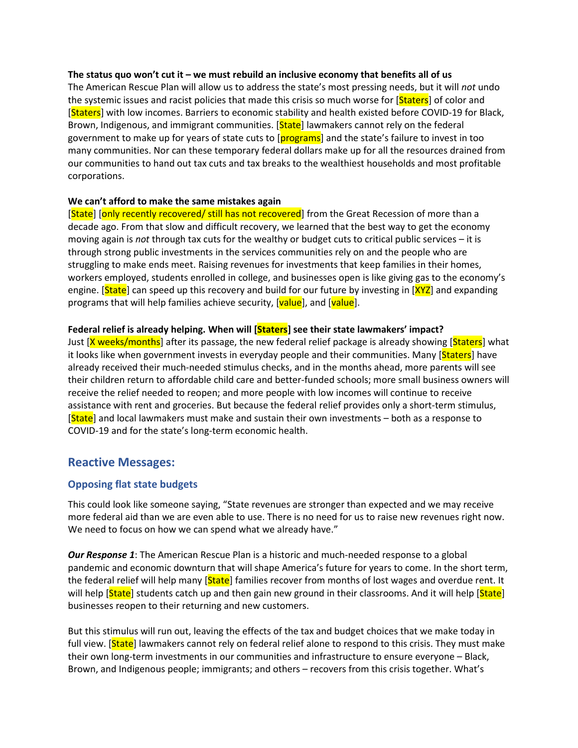#### **The status quo won't cut it – we must rebuild an inclusive economy that benefits all of us**

The American Rescue Plan will allow us to address the state's most pressing needs, but it will *not* undo the systemic issues and racist policies that made this crisis so much worse for [Staters] of color and [Staters] with low incomes. Barriers to economic stability and health existed before COVID-19 for Black, Brown, Indigenous, and immigrant communities. [State] lawmakers cannot rely on the federal government to make up for years of state cuts to [**programs**] and the state's failure to invest in too many communities. Nor can these temporary federal dollars make up for all the resources drained from our communities to hand out tax cuts and tax breaks to the wealthiest households and most profitable corporations.

#### **We can't afford to make the same mistakes again**

[State] [only recently recovered/ still has not recovered] from the Great Recession of more than a decade ago. From that slow and difficult recovery, we learned that the best way to get the economy moving again is *not* through tax cuts for the wealthy or budget cuts to critical public services – it is through strong public investments in the services communities rely on and the people who are struggling to make ends meet. Raising revenues for investments that keep families in their homes, workers employed, students enrolled in college, and businesses open is like giving gas to the economy's engine. [State] can speed up this recovery and build for our future by investing in [XYZ] and expanding programs that will help families achieve security, [value], and [value].

#### **Federal relief is already helping. When will [Staters] see their state lawmakers' impact?**

Just [X weeks/months] after its passage, the new federal relief package is already showing [Staters] what it looks like when government invests in everyday people and their communities. Many [Staters] have already received their much-needed stimulus checks, and in the months ahead, more parents will see their children return to affordable child care and better-funded schools; more small business owners will receive the relief needed to reopen; and more people with low incomes will continue to receive assistance with rent and groceries. But because the federal relief provides only a short-term stimulus, [State] and local lawmakers must make and sustain their own investments – both as a response to COVID-19 and for the state's long-term economic health.

### **Reactive Messages:**

#### **Opposing flat state budgets**

This could look like someone saying, "State revenues are stronger than expected and we may receive more federal aid than we are even able to use. There is no need for us to raise new revenues right now. We need to focus on how we can spend what we already have."

*Our Response 1*: The American Rescue Plan is a historic and much-needed response to a global pandemic and economic downturn that will shape America's future for years to come. In the short term, the federal relief will help many [**State**] families recover from months of lost wages and overdue rent. It will help **[State]** students catch up and then gain new ground in their classrooms. And it will help **[State]** businesses reopen to their returning and new customers.

But this stimulus will run out, leaving the effects of the tax and budget choices that we make today in full view. [State] lawmakers cannot rely on federal relief alone to respond to this crisis. They must make their own long-term investments in our communities and infrastructure to ensure everyone – Black, Brown, and Indigenous people; immigrants; and others – recovers from this crisis together. What's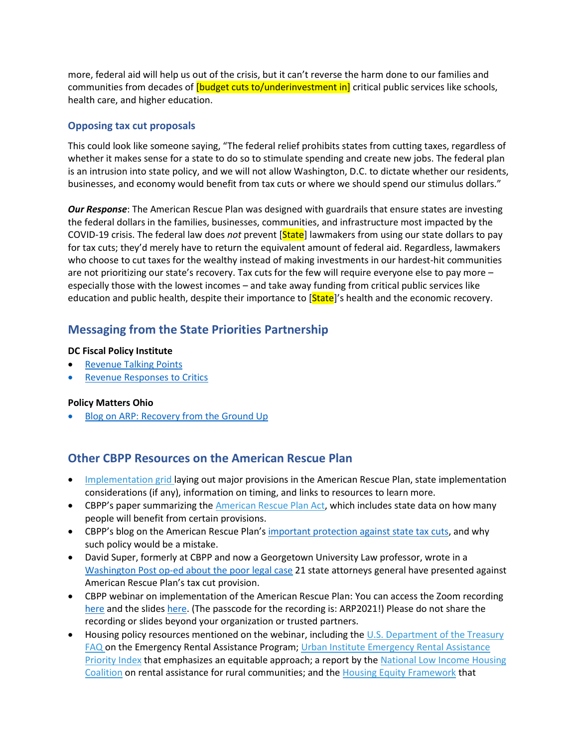more, federal aid will help us out of the crisis, but it can't reverse the harm done to our families and communities from decades of *[budget cuts to/underinvestment in]* critical public services like schools, health care, and higher education.

## **Opposing tax cut proposals**

This could look like someone saying, "The federal relief prohibits states from cutting taxes, regardless of whether it makes sense for a state to do so to stimulate spending and create new jobs. The federal plan is an intrusion into state policy, and we will not allow Washington, D.C. to dictate whether our residents, businesses, and economy would benefit from tax cuts or where we should spend our stimulus dollars."

*Our Response*: The American Rescue Plan was designed with guardrails that ensure states are investing the federal dollars in the families, businesses, communities, and infrastructure most impacted by the COVID-19 crisis. The federal law does *not* prevent [State] lawmakers from using our state dollars to pay for tax cuts; they'd merely have to return the equivalent amount of federal aid. Regardless, lawmakers who choose to cut taxes for the wealthy instead of making investments in our hardest-hit communities are not prioritizing our state's recovery. Tax cuts for the few will require everyone else to pay more – especially those with the lowest incomes – and take away funding from critical public services like education and public health, despite their importance to [State]'s health and the economic recovery.

# **Messaging from the State Priorities Partnership**

#### **DC Fiscal Policy Institute**

- [Revenue Talking Points](https://docs.google.com/document/d/1A-1APaGJjrAvXKXC0lZywfv3UowyG_d4hOfUG9zQImM/edit)
- **[Revenue Responses to Critics](https://docs.google.com/document/d/1OGxLs5mVMLw5AayGNd4RgVgw1lxZI0oqA6H2dSHD5IQ/edit)**

### **Policy Matters Ohio**

• [Blog on ARP: Recovery from the Ground Up](https://www.policymattersohio.org/blog/2021/03/23/recovery-from-the-ground-up)

# **Other CBPP Resources on the American Rescue Plan**

- [Implementation grid l](https://urldefense.com/v3/__https:/cbpp.us10.list-manage.com/track/click?u=fcb519d4a06d032e8e2bbf63f&id=bde91899cf&e=f335f419a4__;!!OXx53w!g66Fr2U1jnEiUXvfr7gQHBMe01Fe7UJT9yNb7J-1_v9QDNzvXwgsfoatkmKqBQ$)aying out major provisions in the American Rescue Plan, state implementation considerations (if any), information on timing, and links to resources to learn more.
- CBPP's paper summarizing the [American Rescue Plan Act,](https://urldefense.com/v3/__https:/cbpp.us10.list-manage.com/track/click?u=fcb519d4a06d032e8e2bbf63f&id=707698e202&e=f335f419a4__;!!OXx53w!g66Fr2U1jnEiUXvfr7gQHBMe01Fe7UJT9yNb7J-1_v9QDNzvXwgsfoaZMF9O1Q$) which includes state data on how many people will benefit from certain provisions.
- CBPP's blog on the American Rescue Plan's [important protection against state tax cuts,](https://365cbpp-my.sharepoint.com/personal/hsawyer_cbpp_org/Documents/Rescue%20Plan%20Protects%20Against%20Using%20Federal%20Dollars%20to%20Cut%20State%20Taxes) and why such policy would be a mistake.
- David Super, formerly at CBPP and now a Georgetown University Law professor, wrote in a Washington Post op-ed [about the poor legal case](https://www.washingtonpost.com/outlook/2021/03/24/pandemic-aid-tax-cuts-constitution-federalism/) 21 state attorneys general have presented against American Rescue Plan's tax cut provision.
- CBPP webinar on implementation of the American Rescue Plan: You can access the Zoom recording [here](https://cbpp.zoom.us/rec/share/Ekjb_iu6P9V1CEbQJAXRhXFz0VPJJg6D8_Jdu6m08iSh_m__vTiCkMg0hjJXXJUB.4HRr6YHcfAhSzkTG) and the slides [here.](https://drive.google.com/file/d/139a0O6fGwgR6rBsr8NYR0VRpjJ_Z98Nw/view) (The passcode for the recording is: ARP2021!) Please do not share the recording or slides beyond your organization or trusted partners.
- Housing policy resources mentioned on the webinar, including the U.S. Department of the Treasury [FAQ o](https://urldefense.com/v3/__https:/cbpp.us10.list-manage.com/track/click?u=fcb519d4a06d032e8e2bbf63f&id=409cfca543&e=f335f419a4__;!!OXx53w!g66Fr2U1jnEiUXvfr7gQHBMe01Fe7UJT9yNb7J-1_v9QDNzvXwgsfob8f03gpA$)n the Emergency Rental Assistance Program; Urban Institute Emergency Rental Assistance [Priority Index](https://urldefense.com/v3/__https:/cbpp.us10.list-manage.com/track/click?u=fcb519d4a06d032e8e2bbf63f&id=b54085b2a0&e=f335f419a4__;!!OXx53w!g66Fr2U1jnEiUXvfr7gQHBMe01Fe7UJT9yNb7J-1_v9QDNzvXwgsfoYwAzCs2A$) that emphasizes an equitable approach; a report by the [National Low Income Housing](https://urldefense.com/v3/__https:/cbpp.us10.list-manage.com/track/click?u=fcb519d4a06d032e8e2bbf63f&id=cfb11840c0&e=f335f419a4__;!!OXx53w!g66Fr2U1jnEiUXvfr7gQHBMe01Fe7UJT9yNb7J-1_v9QDNzvXwgsfobvpET_3A$)  [Coalition](https://urldefense.com/v3/__https:/cbpp.us10.list-manage.com/track/click?u=fcb519d4a06d032e8e2bbf63f&id=cfb11840c0&e=f335f419a4__;!!OXx53w!g66Fr2U1jnEiUXvfr7gQHBMe01Fe7UJT9yNb7J-1_v9QDNzvXwgsfobvpET_3A$) on rental assistance for rural communities; and the [Housing Equity Framework](https://urldefense.com/v3/__https:/cbpp.us10.list-manage.com/track/click?u=fcb519d4a06d032e8e2bbf63f&id=6f9f35d6b8&e=f335f419a4__;!!OXx53w!g66Fr2U1jnEiUXvfr7gQHBMe01Fe7UJT9yNb7J-1_v9QDNzvXwgsfoY28IZyRQ$) that